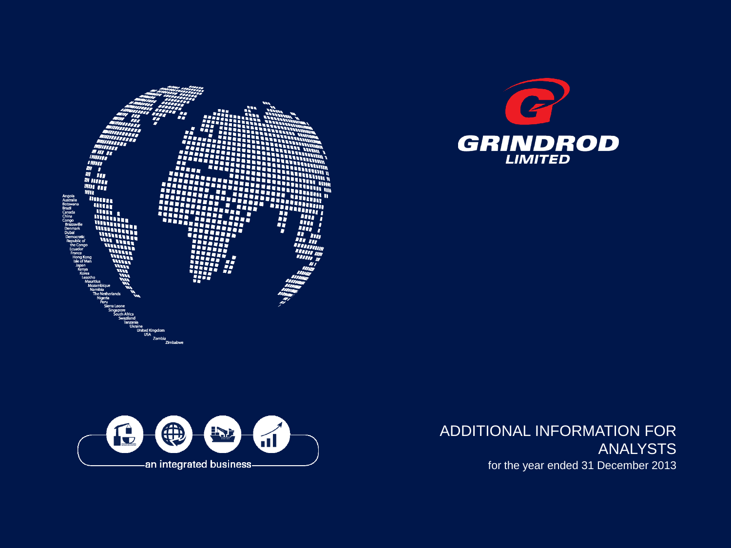





ADDITIONAL INFORMATION FOR ANALYSTS for the year ended 31 December 2013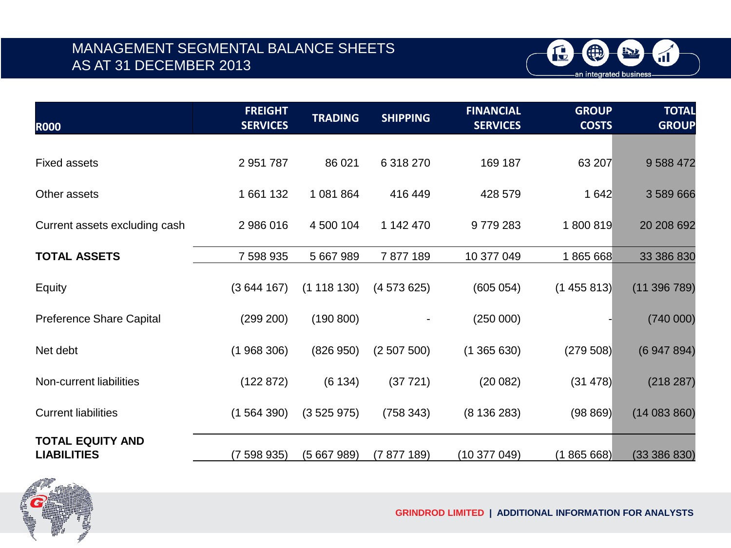### MANAGEMENT SEGMENTAL BALANCE SHEETS AS AT 31 DECEMBER 2013



| <b>ROOO</b>                     | <b>FREIGHT</b><br><b>SERVICES</b> | <b>TRADING</b> | <b>SHIPPING</b> | <b>FINANCIAL</b><br><b>SERVICES</b> | <b>GROUP</b><br><b>COSTS</b> | <b>TOTAL</b><br><b>GROUP</b> |
|---------------------------------|-----------------------------------|----------------|-----------------|-------------------------------------|------------------------------|------------------------------|
|                                 |                                   |                |                 |                                     |                              |                              |
| <b>Fixed assets</b>             | 2 951 787                         | 86 021         | 6 318 270       | 169 187                             | 63 207                       | 9 588 472                    |
| Other assets                    | 1661132                           | 1 081 864      | 416 449         | 428 579                             | 1 642                        | 3 589 666                    |
| Current assets excluding cash   | 2 986 016                         | 4 500 104      | 1 142 470       | 9779283                             | 1800819                      | 20 208 692                   |
|                                 |                                   |                |                 |                                     |                              |                              |
| <b>TOTAL ASSETS</b>             | 7 598 935                         | 5 667 989      | 7877189         | 10 377 049                          | 1865668                      | 33 386 830                   |
| Equity                          | (3644167)                         | (1118130)      | (4573625)       | (605 054)                           | (1455813)                    | (11396789)                   |
| <b>Preference Share Capital</b> | (299 200)                         | (190 800)      |                 | (250000)                            |                              | (740000)                     |
| Net debt                        | (1968306)                         | (826950)       | (2507500)       | (1365630)                           | (279 508)                    | (6947894)                    |
| Non-current liabilities         | (122 872)                         | (6134)         | (37721)         | (20082)                             | (31 478)                     | (218 287)                    |
| <b>Current liabilities</b>      | (1564390)                         | (3525975)      | (758 343)       | (8136283)                           | (98 869)                     | (14083860)                   |
| <b>TOTAL EQUITY AND</b>         |                                   |                |                 |                                     |                              |                              |
| <b>LIABILITIES</b>              | (7 598 935)                       | (5667989)      | (7877189)       | (10377049)                          | (1865668)                    | (33386830)                   |



**GRINDROD LIMITED | ADDITIONAL INFORMATION FOR ANALYSTS**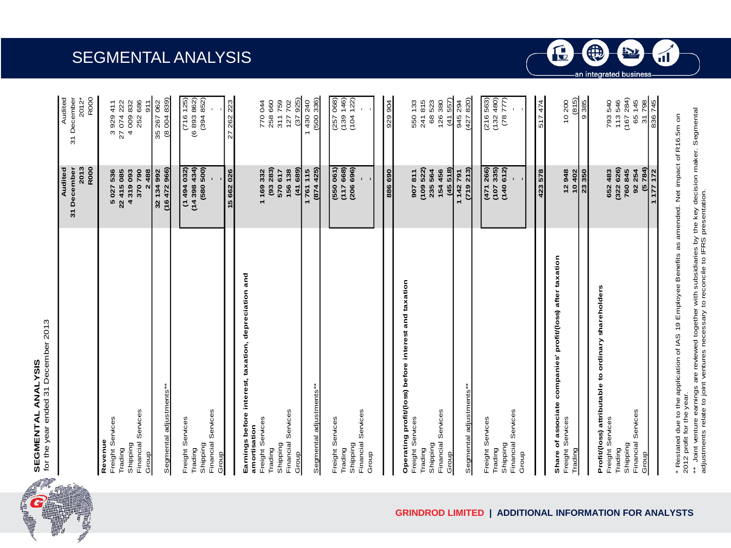



|                                                                                          | R000<br>31 December<br>2013<br>Audited               | 31 December<br>2012*<br>R000<br>Audited              |
|------------------------------------------------------------------------------------------|------------------------------------------------------|------------------------------------------------------|
| Financial Services<br>Freight Services<br>Revenue<br>Shipping<br>Trading<br>Group        | 5 027 536<br>22 415 085<br>4319093<br>370790<br>2488 | 252 686<br>27 074 222<br>4009832<br>511<br>3 929 411 |
| "Segmental adjustments                                                                   | (16472966)<br>32 134 992                             | (8004839)<br>35 267 062                              |
| Financial Services<br>Freight Services<br>Shipping<br>Trading<br>Group                   | (14398434)<br>(580 500)<br>(1494032)                 | (716 125)<br>(6 893 862)<br>(394852)                 |
|                                                                                          | 15 662 026                                           | 27 262 223                                           |
| Earnings before interest, taxation, depreciation and<br>Freight Services<br>amortisation | 1169332                                              | 770 044                                              |
| Financial Services<br>Shipping<br>Trading<br>Group                                       | (93 283)<br>(41689)<br>156 138<br>570 617            | (37925)<br>311759<br>258 660<br>127702               |
| Segmental adjustments**                                                                  | (874425)<br>1761115                                  | (500336)<br>1430240                                  |
| Financial Services<br>Freight Services<br>Shipping<br>Trading<br>Group                   | (117668)<br>(206 696)<br>(550 061)<br>ı              | (139 146)<br>(104122)<br>(257068)                    |
|                                                                                          | 886 690                                              | 929 904                                              |

| Group                                                      | ï         |          |
|------------------------------------------------------------|-----------|----------|
|                                                            |           |          |
|                                                            | 886 690   | 929 904  |
| Operating profit/(loss) before interest and taxation       |           |          |
| Freight Services                                           | 907811    | 550 133  |
| Trading                                                    | (109522)  | 241815   |
| Shipping                                                   | 235 564   | 68523    |
| Financial Services                                         | 154 456   | 126380   |
| Group                                                      | (45518)   | (41557)  |
|                                                            | 1142791   | 945 294  |
| "Segmental adjustments                                     | (719 213) | (427820) |
|                                                            |           |          |
| Freight Services                                           | (471266)  | (216563) |
| Trading                                                    | (107335)  | (132480) |
| Shipping                                                   | (140612)  | (78777)  |
| Financial Services                                         |           |          |
| Group                                                      |           |          |
|                                                            |           |          |
|                                                            | 423 578   | 517474   |
| Share of associate companies' profit/(loss) after taxation |           |          |
| Freight Services                                           | 12 948    | 10200    |
| Trading                                                    | 10 402    | (815)    |
|                                                            | 23 350    | 9385     |
| Profit/(loss) attributable to ordinary shareholders        |           |          |
| Freight Services                                           | 652 483   | 793540   |
| Trading                                                    | (322626)  | 113546   |
| Shipping                                                   | 760845    | (167284) |
| Financial Services                                         | 92 254    | 65 145   |

\* Restated due to the application of IAS 19 Employee Benefits as amended. Net impact of R16.5m on<br>2012 profit for the year. \* Restated due to the application of IAS 19 Employee Benefits as amended. Net impact of R16.5m on 2012 profit for the year.

798 836745

 $\overline{5}$ 

 $(5784)$ 177 172

\*\* Joint venture earnings are reviewed together with subsidiaries by the key decision maker. Segmental \*\* Joint venture earnings are reviewed together with subsidiaries by the key decision maker. Segmental<br>adjustments relate to joint ventures necessary to reconcile to IFRS presentation. adjustments relate to joint ventures necessary to reconcile to IFRS presentation.



Trading **(322 626)** 113 546 Shipping **760 845** (167 284) Financial Services **92 254** 65 145 Group **(5 784)** 31 798

Group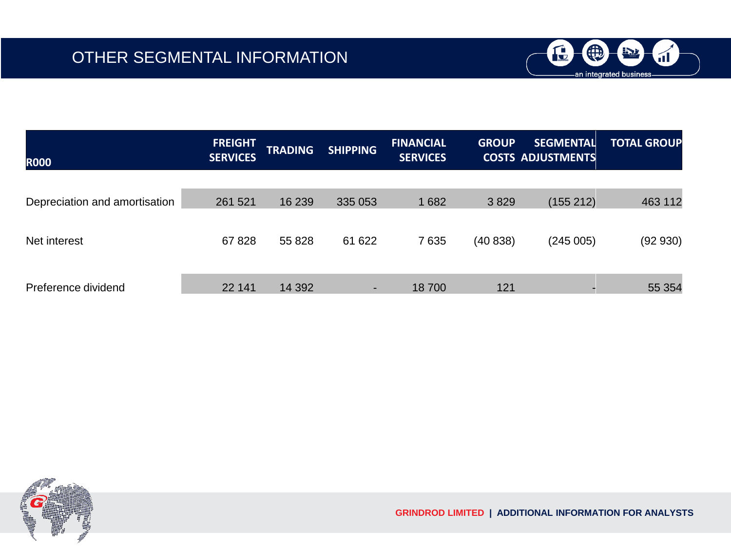

| <b>ROOO</b>                   | <b>FREIGHT</b><br><b>SERVICES</b> | <b>TRADING</b> | <b>SHIPPING</b> | <b>FINANCIAL</b><br><b>SERVICES</b> | <b>GROUP</b> | <b>SEGMENTAL</b><br><b>COSTS ADJUSTMENTS</b> | <b>TOTAL GROUP</b> |
|-------------------------------|-----------------------------------|----------------|-----------------|-------------------------------------|--------------|----------------------------------------------|--------------------|
|                               |                                   |                |                 |                                     |              |                                              |                    |
| Depreciation and amortisation | 261 521                           | 16 239         | 335 053         | 1682                                | 3829         | (155 212)                                    | 463 112            |
|                               |                                   |                |                 |                                     |              |                                              |                    |
| Net interest                  | 67828                             | 55 828         | 61 622          | 7635                                | (40838)      | (245005)                                     | (92930)            |
|                               |                                   |                |                 |                                     |              |                                              |                    |
| Preference dividend           | 22 141                            | 14 3 9 2       | ٠               | 18700                               | 121          |                                              | 55 354             |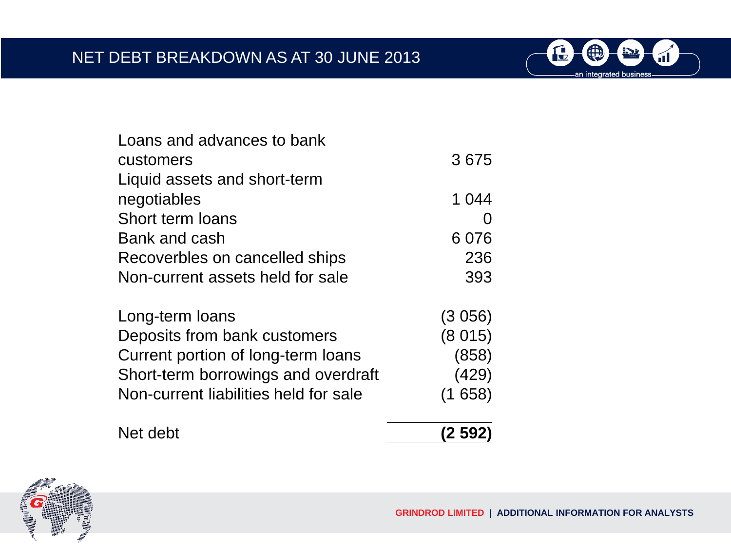

| Loans and advances to bank            |         |
|---------------------------------------|---------|
| customers                             | 3675    |
| Liquid assets and short-term          |         |
| negotiables                           | 1 044   |
| Short term loans                      |         |
| Bank and cash                         | 6076    |
| Recoverbles on cancelled ships        | 236     |
| Non-current assets held for sale      | 393     |
| Long-term loans                       | (3056)  |
| Deposits from bank customers          | (8015)  |
| Current portion of long-term loans    | (858)   |
| Short-term borrowings and overdraft   | (429)   |
| Non-current liabilities held for sale | (1658)  |
| Net debt                              | (2 592) |

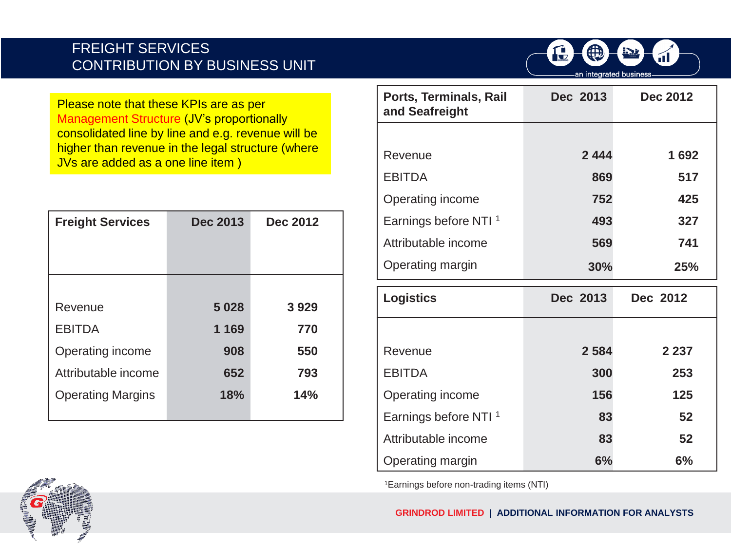#### FREIGHT SERVICES CONTRIBUTION BY BUSINESS UNIT



Please note that these KPIs are as per Management Structure (JV's proportionally consolidated line by line and e.g. revenue will be higher than revenue in the legal structure (where JVs are added as a one line item )

| <b>Freight Services</b>  | <b>Dec 2013</b> | <b>Dec 2012</b> |
|--------------------------|-----------------|-----------------|
|                          |                 |                 |
|                          |                 |                 |
|                          |                 |                 |
| Revenue                  | 5028            | 3929            |
| <b>EBITDA</b>            | 1 1 6 9         | 770             |
| Operating income         | 908             | 550             |
| Attributable income      | 652             | 793             |
| <b>Operating Margins</b> | 18%             | 14%             |
|                          |                 |                 |

| Ports, Terminals, Rail<br>and Seafreight | Dec 2013 | Dec 2012 |
|------------------------------------------|----------|----------|
|                                          |          |          |
| Revenue                                  | 2444     | 1692     |
| <b>EBITDA</b>                            | 869      | 517      |
| Operating income                         | 752      | 425      |
| Earnings before NTI <sup>1</sup>         | 493      | 327      |
| Attributable income                      | 569      | 741      |
| Operating margin                         | 30%      | 25%      |

| <b>Logistics</b>                 | Dec 2013 | Dec 2012 |
|----------------------------------|----------|----------|
|                                  |          |          |
| Revenue                          | 2 5 8 4  | 2 2 3 7  |
| <b>EBITDA</b>                    | 300      | 253      |
| Operating income                 | 156      | 125      |
| Earnings before NTI <sup>1</sup> | 83       | 52       |
| Attributable income              | 83       | 52       |
| Operating margin                 | 6%       | 6%       |

1Earnings before non-trading items (NTI)

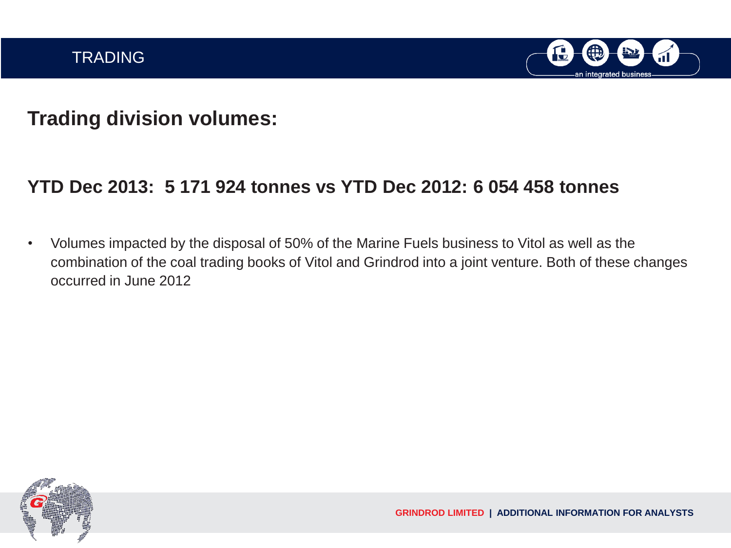

# **Trading division volumes:**

## **YTD Dec 2013: 5 171 924 tonnes vs YTD Dec 2012: 6 054 458 tonnes**

• Volumes impacted by the disposal of 50% of the Marine Fuels business to Vitol as well as the combination of the coal trading books of Vitol and Grindrod into a joint venture. Both of these changes occurred in June 2012

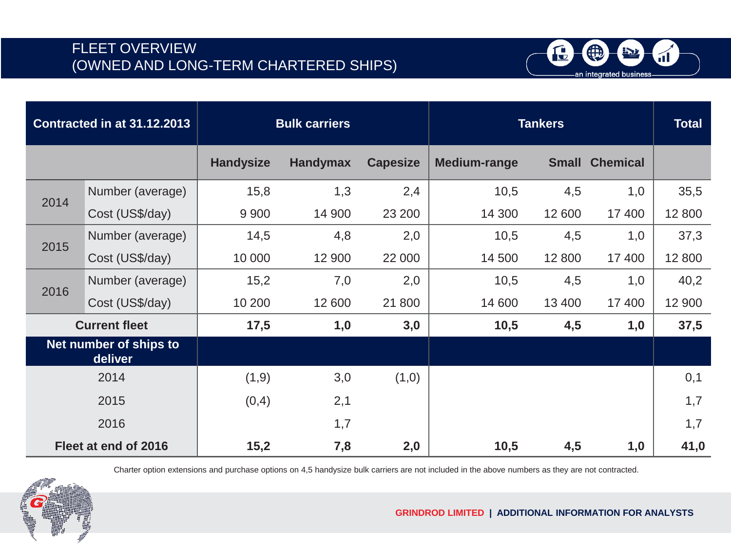

|      | <b>Contracted in at 31.12.2013</b> | <b>Bulk carriers</b> |                 |                 | <b>Tankers</b> | <b>Total</b> |                 |        |
|------|------------------------------------|----------------------|-----------------|-----------------|----------------|--------------|-----------------|--------|
|      |                                    | <b>Handysize</b>     | <b>Handymax</b> | <b>Capesize</b> | Medium-range   | <b>Small</b> | <b>Chemical</b> |        |
| 2014 | Number (average)                   | 15,8                 | 1,3             | 2,4             | 10,5           | 4,5          | 1,0             | 35,5   |
|      | Cost (US\$/day)                    | 9 9 0 0              | 14 900          | 23 200          | 14 300         | 12 600       | 17 400          | 12 800 |
| 2015 | Number (average)                   | 14,5                 | 4,8             | 2,0             | 10,5           | 4,5          | 1,0             | 37,3   |
|      | Cost (US\$/day)                    | 10 000               | 12 900          | 22 000          | 14 500         | 12 800       | 17 400          | 12 800 |
| 2016 | Number (average)                   | 15,2                 | 7,0             | 2,0             | 10,5           | 4,5          | 1,0             | 40,2   |
|      | Cost (US\$/day)                    | 10 200               | 12 600          | 21 800          | 14 600         | 13 400       | 17 400          | 12 900 |
|      | <b>Current fleet</b>               | 17,5                 | 1,0             | 3,0             | 10,5           | 4,5          | 1,0             | 37,5   |
|      | Net number of ships to<br>deliver  |                      |                 |                 |                |              |                 |        |
|      | 2014                               | (1,9)                | 3,0             | (1,0)           |                |              |                 | 0,1    |
|      | 2015                               | (0,4)                | 2,1             |                 |                |              |                 | 1,7    |
|      | 2016                               |                      | 1,7             |                 |                |              |                 | 1,7    |
|      | Fleet at end of 2016               | 15,2                 | 7,8             | 2,0             | 10,5           | 4,5          | 1,0             | 41,0   |

Charter option extensions and purchase options on 4,5 handysize bulk carriers are not included in the above numbers as they are not contracted.

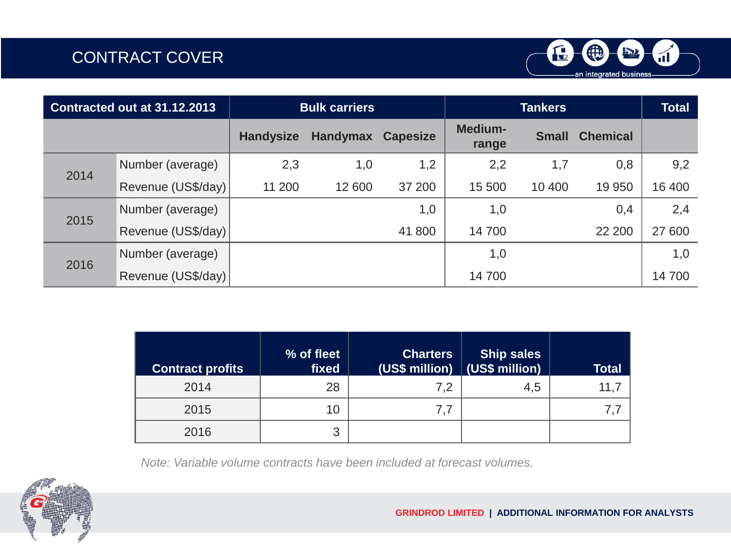

| Contracted out at 31.12.2013 |                    |                  | <b>Bulk carriers</b> |                 |                         | <b>Total</b> |                 |        |
|------------------------------|--------------------|------------------|----------------------|-----------------|-------------------------|--------------|-----------------|--------|
|                              |                    | <b>Handysize</b> | <b>Handymax</b>      | <b>Capesize</b> | <b>Medium-</b><br>range | <b>Small</b> | <b>Chemical</b> |        |
| 2014                         | Number (average)   | 2,3              | 1,0                  | 1,2             | 2,2                     | 1,7          | 0,8             | 9,2    |
|                              | Revenue (US\$/day) | 11 200           | 12 600               | 37 200          | 15 500                  | 10 400       | 19 950          | 16 400 |
|                              | Number (average)   |                  |                      | 1,0             | 1,0                     |              | 0,4             | 2,4    |
| 2015                         | Revenue (US\$/day) |                  |                      | 41 800          | 14700                   |              | 22 200          | 27 600 |
|                              | Number (average)   |                  |                      |                 | 1,0                     |              |                 | 1,0    |
| 2016                         | Revenue (US\$/day) |                  |                      |                 | 14700                   |              |                 | 14700  |

| <b>Contract profits</b> | % of fleet<br>fixed | <b>Charters</b><br>$\sqrt{(US\$ million) $\sqrt{(US\$ million) | <b>Ship sales</b> | <b>Total</b> |
|-------------------------|---------------------|----------------------------------------------------------------|-------------------|--------------|
| 2014                    | 28                  | 7.2                                                            | 4,5               | 11.7         |
| 2015                    | 10                  | 7,7                                                            |                   |              |
| 2016                    | 3                   |                                                                |                   |              |

*Note: Variable volume contracts have been included at forecast volumes.*